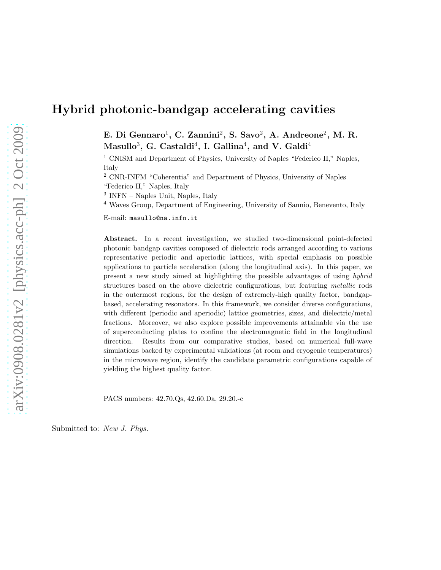# Hybrid photonic-bandgap accelerating cavities

E. Di Gennaro<sup>1</sup>, C. Zannini<sup>2</sup>, S. Savo<sup>2</sup>, A. Andreone<sup>2</sup>, M. R.  $\rm Masullo^3, \rm\,G.~ Castaldi^4, \rm\,I.~Gallina^4, \rm\,and~V.~Galdi^4$ 

<sup>1</sup> CNISM and Department of Physics, University of Naples "Federico II," Naples, Italy

<sup>2</sup> CNR-INFM "Coherentia" and Department of Physics, University of Naples

"Federico II," Naples, Italy

3 INFN – Naples Unit, Naples, Italy

<sup>4</sup> Waves Group, Department of Engineering, University of Sannio, Benevento, Italy

E-mail: masullo@na.infn.it

Abstract. In a recent investigation, we studied two-dimensional point-defected photonic bandgap cavities composed of dielectric rods arranged according to various representative periodic and aperiodic lattices, with special emphasis on possible applications to particle acceleration (along the longitudinal axis). In this paper, we present a new study aimed at highlighting the possible advantages of using hybrid structures based on the above dielectric configurations, but featuring metallic rods in the outermost regions, for the design of extremely-high quality factor, bandgapbased, accelerating resonators. In this framework, we consider diverse configurations, with different (periodic and aperiodic) lattice geometries, sizes, and dielectric/metal fractions. Moreover, we also explore possible improvements attainable via the use of superconducting plates to confine the electromagnetic field in the longitudinal direction. Results from our comparative studies, based on numerical full-wave simulations backed by experimental validations (at room and cryogenic temperatures) in the microwave region, identify the candidate parametric configurations capable of yielding the highest quality factor.

PACS numbers: 42.70.Qs, 42.60.Da, 29.20.-c

Submitted to: New J. Phys.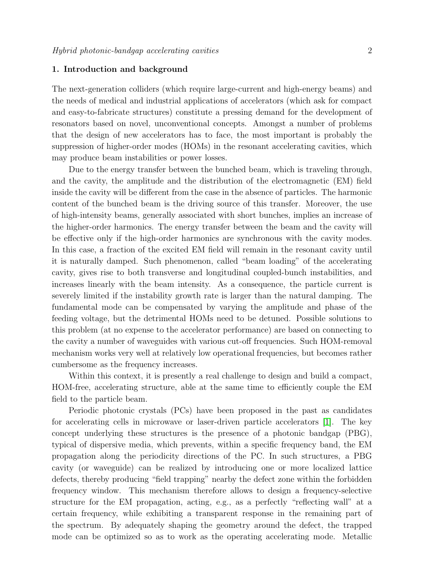## 1. Introduction and background

The next-generation colliders (which require large-current and high-energy beams) and the needs of medical and industrial applications of accelerators (which ask for compact and easy-to-fabricate structures) constitute a pressing demand for the development of resonators based on novel, unconventional concepts. Amongst a number of problems that the design of new accelerators has to face, the most important is probably the suppression of higher-order modes (HOMs) in the resonant accelerating cavities, which may produce beam instabilities or power losses.

Due to the energy transfer between the bunched beam, which is traveling through, and the cavity, the amplitude and the distribution of the electromagnetic (EM) field inside the cavity will be different from the case in the absence of particles. The harmonic content of the bunched beam is the driving source of this transfer. Moreover, the use of high-intensity beams, generally associated with short bunches, implies an increase of the higher-order harmonics. The energy transfer between the beam and the cavity will be effective only if the high-order harmonics are synchronous with the cavity modes. In this case, a fraction of the excited EM field will remain in the resonant cavity until it is naturally damped. Such phenomenon, called "beam loading" of the accelerating cavity, gives rise to both transverse and longitudinal coupled-bunch instabilities, and increases linearly with the beam intensity. As a consequence, the particle current is severely limited if the instability growth rate is larger than the natural damping. The fundamental mode can be compensated by varying the amplitude and phase of the feeding voltage, but the detrimental HOMs need to be detuned. Possible solutions to this problem (at no expense to the accelerator performance) are based on connecting to the cavity a number of waveguides with various cut-off frequencies. Such HOM-removal mechanism works very well at relatively low operational frequencies, but becomes rather cumbersome as the frequency increases.

Within this context, it is presently a real challenge to design and build a compact, HOM-free, accelerating structure, able at the same time to efficiently couple the EM field to the particle beam.

Periodic photonic crystals (PCs) have been proposed in the past as candidates for accelerating cells in microwave or laser-driven particle accelerators [\[1\]](#page-11-0). The key concept underlying these structures is the presence of a photonic bandgap (PBG), typical of dispersive media, which prevents, within a specific frequency band, the EM propagation along the periodicity directions of the PC. In such structures, a PBG cavity (or waveguide) can be realized by introducing one or more localized lattice defects, thereby producing "field trapping" nearby the defect zone within the forbidden frequency window. This mechanism therefore allows to design a frequency-selective structure for the EM propagation, acting, e.g., as a perfectly "reflecting wall" at a certain frequency, while exhibiting a transparent response in the remaining part of the spectrum. By adequately shaping the geometry around the defect, the trapped mode can be optimized so as to work as the operating accelerating mode. Metallic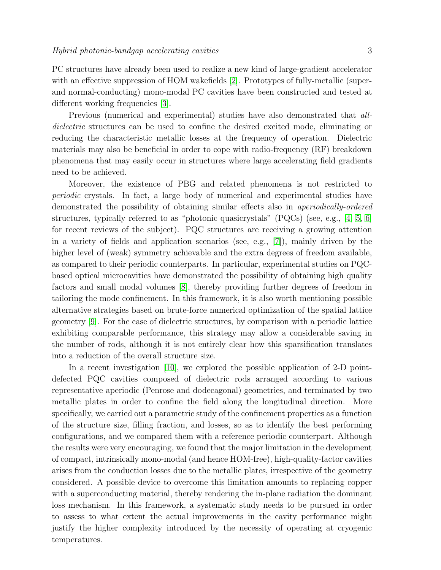PC structures have already been used to realize a new kind of large-gradient accelerator with an effective suppression of HOM wakefields [\[2\]](#page-11-1). Prototypes of fully-metallic (superand normal-conducting) mono-modal PC cavities have been constructed and tested at different working frequencies [\[3\]](#page-11-2).

Previous (numerical and experimental) studies have also demonstrated that alldielectric structures can be used to confine the desired excited mode, eliminating or reducing the characteristic metallic losses at the frequency of operation. Dielectric materials may also be beneficial in order to cope with radio-frequency (RF) breakdown phenomena that may easily occur in structures where large accelerating field gradients need to be achieved.

Moreover, the existence of PBG and related phenomena is not restricted to periodic crystals. In fact, a large body of numerical and experimental studies have demonstrated the possibility of obtaining similar effects also in aperiodically-ordered structures, typically referred to as "photonic quasicrystals" (PQCs) (see, e.g., [\[4,](#page-11-3) [5,](#page-11-4) [6\]](#page-11-5) for recent reviews of the subject). PQC structures are receiving a growing attention in a variety of fields and application scenarios (see, e.g., [\[7\]](#page-11-6)), mainly driven by the higher level of (weak) symmetry achievable and the extra degrees of freedom available, as compared to their periodic counterparts. In particular, experimental studies on PQCbased optical microcavities have demonstrated the possibility of obtaining high quality factors and small modal volumes [\[8\]](#page-11-7), thereby providing further degrees of freedom in tailoring the mode confinement. In this framework, it is also worth mentioning possible alternative strategies based on brute-force numerical optimization of the spatial lattice geometry [\[9\]](#page-11-8). For the case of dielectric structures, by comparison with a periodic lattice exhibiting comparable performance, this strategy may allow a considerable saving in the number of rods, although it is not entirely clear how this sparsification translates into a reduction of the overall structure size.

In a recent investigation [\[10\]](#page-11-9), we explored the possible application of 2-D pointdefected PQC cavities composed of dielectric rods arranged according to various representative aperiodic (Penrose and dodecagonal) geometries, and terminated by two metallic plates in order to confine the field along the longitudinal direction. More specifically, we carried out a parametric study of the confinement properties as a function of the structure size, filling fraction, and losses, so as to identify the best performing configurations, and we compared them with a reference periodic counterpart. Although the results were very encouraging, we found that the major limitation in the development of compact, intrinsically mono-modal (and hence HOM-free), high-quality-factor cavities arises from the conduction losses due to the metallic plates, irrespective of the geometry considered. A possible device to overcome this limitation amounts to replacing copper with a superconducting material, thereby rendering the in-plane radiation the dominant loss mechanism. In this framework, a systematic study needs to be pursued in order to assess to what extent the actual improvements in the cavity performance might justify the higher complexity introduced by the necessity of operating at cryogenic temperatures.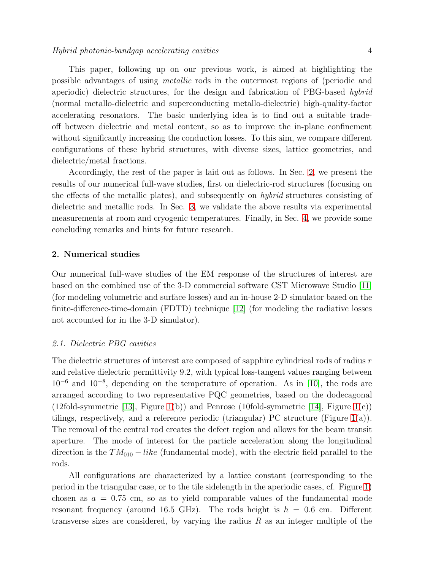This paper, following up on our previous work, is aimed at highlighting the possible advantages of using metallic rods in the outermost regions of (periodic and aperiodic) dielectric structures, for the design and fabrication of PBG-based hybrid (normal metallo-dielectric and superconducting metallo-dielectric) high-quality-factor accelerating resonators. The basic underlying idea is to find out a suitable tradeoff between dielectric and metal content, so as to improve the in-plane confinement without significantly increasing the conduction losses. To this aim, we compare different configurations of these hybrid structures, with diverse sizes, lattice geometries, and dielectric/metal fractions.

Accordingly, the rest of the paper is laid out as follows. In Sec. [2,](#page-3-0) we present the results of our numerical full-wave studies, first on dielectric-rod structures (focusing on the effects of the metallic plates), and subsequently on hybrid structures consisting of dielectric and metallic rods. In Sec. [3,](#page-9-0) we validate the above results via experimental measurements at room and cryogenic temperatures. Finally, in Sec. [4,](#page-10-0) we provide some concluding remarks and hints for future research.

### <span id="page-3-0"></span>2. Numerical studies

Our numerical full-wave studies of the EM response of the structures of interest are based on the combined use of the 3-D commercial software CST Microwave Studio [\[11\]](#page-12-0) (for modeling volumetric and surface losses) and an in-house 2-D simulator based on the finite-difference-time-domain (FDTD) technique [\[12\]](#page-12-1) (for modeling the radiative losses not accounted for in the 3-D simulator).

#### 2.1. Dielectric PBG cavities

The dielectric structures of interest are composed of sapphire cylindrical rods of radius r and relative dielectric permittivity 9.2, with typical loss-tangent values ranging between 10<sup>−</sup><sup>6</sup> and 10<sup>−</sup><sup>8</sup> , depending on the temperature of operation. As in [\[10\]](#page-11-9), the rods are arranged according to two representative PQC geometries, based on the dodecagonal (12fold-symmetric [\[13\]](#page-12-2), Figure [1\(](#page-4-0)b)) and Penrose (10fold-symmetric [\[14\]](#page-12-3), Figure 1(c)) tilings, respectively, and a reference periodic (triangular) PC structure (Figure [1\(](#page-4-0)a)). The removal of the central rod creates the defect region and allows for the beam transit aperture. The mode of interest for the particle acceleration along the longitudinal direction is the  $TM_{010} - like$  (fundamental mode), with the electric field parallel to the rods.

All configurations are characterized by a lattice constant (corresponding to the period in the triangular case, or to the tile sidelength in the aperiodic cases, cf. Figure [1\)](#page-4-0) chosen as  $a = 0.75$  cm, so as to yield comparable values of the fundamental mode resonant frequency (around 16.5 GHz). The rods height is  $h = 0.6$  cm. Different transverse sizes are considered, by varying the radius  $R$  as an integer multiple of the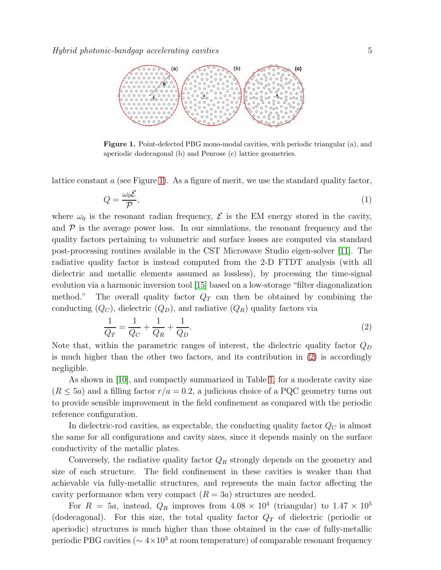

<span id="page-4-0"></span>Figure 1. Point-defected PBG mono-modal cavities, with periodic triangular (a), and aperiodic dodecagonal (b) and Penrose (c) lattice geometries.

lattice constant a (see Figure [1\)](#page-4-0). As a figure of merit, we use the standard quality factor,

$$
Q = \frac{\omega_0 \mathcal{E}}{\mathcal{P}},\tag{1}
$$

where  $\omega_0$  is the resonant radian frequency,  $\mathcal E$  is the EM energy stored in the cavity, and  $\mathcal P$  is the average power loss. In our simulations, the resonant frequency and the quality factors pertaining to volumetric and surface losses are computed via standard post-processing routines available in the CST Microwave Studio eigen-solver [\[11\]](#page-12-0). The radiative quality factor is instead computed from the 2-D FTDT analysis (with all dielectric and metallic elements assumed as lossless), by processing the time-signal evolution via a harmonic inversion tool [\[15\]](#page-12-4) based on a low-storage "filter diagonalization method." The overall quality factor  $Q_T$  can then be obtained by combining the conducting  $(Q_C)$ , dielectric  $(Q_D)$ , and radiative  $(Q_R)$  quality factors via

<span id="page-4-1"></span>
$$
\frac{1}{Q_T} = \frac{1}{Q_C} + \frac{1}{Q_R} + \frac{1}{Q_D}.\tag{2}
$$

Note that, within the parametric ranges of interest, the dielectric quality factor  $Q_D$ is much higher than the other two factors, and its contribution in [\(2\)](#page-4-1) is accordingly negligible.

As shown in [\[10\]](#page-11-9), and compactly summarized in Table [1,](#page-5-0) for a moderate cavity size  $(R \leq 5a)$  and a filling factor  $r/a = 0.2$ , a judicious choice of a PQC geometry turns out to provide sensible improvement in the field confinement as compared with the periodic reference configuration.

In dielectric-rod cavities, as expectable, the conducting quality factor  $Q_C$  is almost the same for all configurations and cavity sizes, since it depends mainly on the surface conductivity of the metallic plates.

Conversely, the radiative quality factor  $Q_R$  strongly depends on the geometry and size of each structure. The field confinement in these cavities is weaker than that achievable via fully-metallic structures, and represents the main factor affecting the cavity performance when very compact  $(R = 3a)$  structures are needed.

For  $R = 5a$ , instead,  $Q_R$  improves from  $4.08 \times 10^4$  (triangular) to  $1.47 \times 10^5$ (dodecagonal). For this size, the total quality factor  $Q_T$  of dielectric (periodic or aperiodic) structures is much higher than those obtained in the case of fully-metallic periodic PBG cavities ( $\sim 4 \times 10^3$  at room temperature) of comparable resonant frequency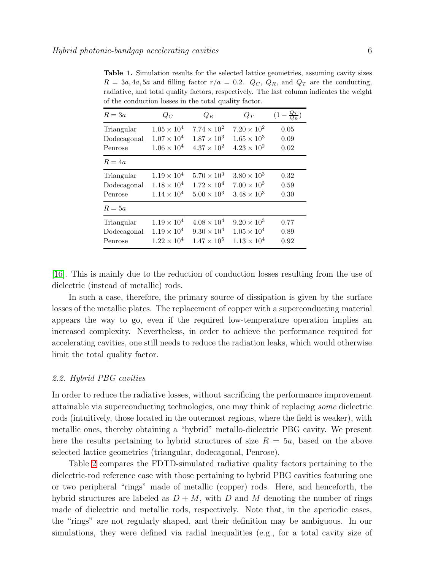<span id="page-5-0"></span>Table 1. Simulation results for the selected lattice geometries, assuming cavity sizes  $R = 3a, 4a, 5a$  and filling factor  $r/a = 0.2$ .  $Q_C$ ,  $Q_R$ , and  $Q_T$  are the conducting, radiative, and total quality factors, respectively. The last column indicates the weight of the conduction losses in the total quality factor.

| $R=3a$      | $Q_C$                | $Q_R$                | $Q_T$                | $\left(1-\frac{Q_T}{Q_B}\right)$ |
|-------------|----------------------|----------------------|----------------------|----------------------------------|
| Triangular  | $1.05 \times 10^{4}$ | $7.74 \times 10^{2}$ | $7.20 \times 10^{2}$ | 0.05                             |
| Dodecagonal | $1.07 \times 10^{4}$ | $1.87 \times 10^{3}$ | $1.65 \times 10^{3}$ | 0.09                             |
| Penrose     | $1.06 \times 10^{4}$ | $4.37 \times 10^{2}$ | $4.23 \times 10^{2}$ | 0.02                             |
| $R=4a$      |                      |                      |                      |                                  |
| Triangular  | $1.19 \times 10^{4}$ | $5.70 \times 10^{3}$ | $3.80 \times 10^{3}$ | 0.32                             |
| Dodecagonal | $1.18 \times 10^{4}$ | $1.72 \times 10^{4}$ | $7.00 \times 10^{3}$ | 0.59                             |
| Penrose     | $1.14 \times 10^{4}$ | $5.00 \times 10^{3}$ | $3.48 \times 10^{3}$ | 0.30                             |
| $R = 5a$    |                      |                      |                      |                                  |
| Triangular  | $1.19 \times 10^{4}$ | $4.08 \times 10^{4}$ | $9.20 \times 10^3$   | 0.77                             |
| Dodecagonal | $1.19 \times 10^{4}$ | $9.30 \times 10^{4}$ | $1.05 \times 10^{4}$ | 0.89                             |
| Penrose     | $1.22 \times 10^{4}$ | $1.47 \times 10^{5}$ | $1.13 \times 10^{4}$ | 0.92                             |
|             |                      |                      |                      |                                  |

[\[16\]](#page-12-5). This is mainly due to the reduction of conduction losses resulting from the use of dielectric (instead of metallic) rods.

In such a case, therefore, the primary source of dissipation is given by the surface losses of the metallic plates. The replacement of copper with a superconducting material appears the way to go, even if the required low-temperature operation implies an increased complexity. Nevertheless, in order to achieve the performance required for accelerating cavities, one still needs to reduce the radiation leaks, which would otherwise limit the total quality factor.

## 2.2. Hybrid PBG cavities

In order to reduce the radiative losses, without sacrificing the performance improvement attainable via superconducting technologies, one may think of replacing some dielectric rods (intuitively, those located in the outermost regions, where the field is weaker), with metallic ones, thereby obtaining a "hybrid" metallo-dielectric PBG cavity. We present here the results pertaining to hybrid structures of size  $R = 5a$ , based on the above selected lattice geometries (triangular, dodecagonal, Penrose).

Table [2](#page-6-0) compares the FDTD-simulated radiative quality factors pertaining to the dielectric-rod reference case with those pertaining to hybrid PBG cavities featuring one or two peripheral "rings" made of metallic (copper) rods. Here, and henceforth, the hybrid structures are labeled as  $D + M$ , with D and M denoting the number of rings made of dielectric and metallic rods, respectively. Note that, in the aperiodic cases, the "rings" are not regularly shaped, and their definition may be ambiguous. In our simulations, they were defined via radial inequalities (e.g., for a total cavity size of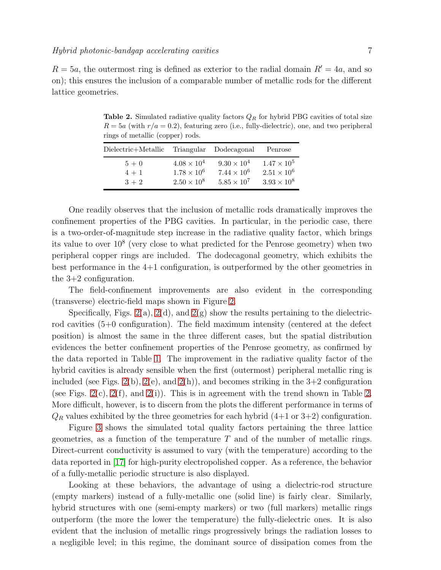<span id="page-6-0"></span>**Table 2.** Simulated radiative quality factors  $Q_R$  for hybrid PBG cavities of total size  $R = 5a$  (with  $r/a = 0.2$ ), featuring zero (i.e., fully-dielectric), one, and two peripheral rings of metallic (copper) rods.

| Dielectric+Metallic Triangular Dodecagonal |                      |                      | Penrose              |
|--------------------------------------------|----------------------|----------------------|----------------------|
| $5+0$                                      | $4.08 \times 10^{4}$ | $9.30 \times 10^{4}$ | $1.47 \times 10^{5}$ |
| $4 + 1$                                    | $1.78 \times 10^{6}$ | $7.44 \times 10^{6}$ | $2.51 \times 10^{6}$ |
| $3 + 2$                                    | $2.50 \times 10^8$   | $5.85 \times 10^{7}$ | $3.93 \times 10^{8}$ |

One readily observes that the inclusion of metallic rods dramatically improves the confinement properties of the PBG cavities. In particular, in the periodic case, there is a two-order-of-magnitude step increase in the radiative quality factor, which brings its value to over 10<sup>8</sup> (very close to what predicted for the Penrose geometry) when two peripheral copper rings are included. The dodecagonal geometry, which exhibits the best performance in the 4+1 configuration, is outperformed by the other geometries in the 3+2 configuration.

The field-confinement improvements are also evident in the corresponding (transverse) electric-field maps shown in Figure [2.](#page-7-0)

Specifically, Figs. [2\(](#page-7-0)a), 2(d), and 2(g) show the results pertaining to the dielectricrod cavities (5+0 configuration). The field maximum intensity (centered at the defect position) is almost the same in the three different cases, but the spatial distribution evidences the better confinement properties of the Penrose geometry, as confirmed by the data reported in Table [1.](#page-5-0) The improvement in the radiative quality factor of the hybrid cavities is already sensible when the first (outermost) peripheral metallic ring is included (see Figs. [2\(](#page-7-0)b), 2(e), and 2(h)), and becomes striking in the  $3+2$  configuration (see Figs.  $2(c)$ ,  $2(f)$ , and  $2(i)$ ). This is in agreement with the trend shown in Table [2.](#page-6-0) More difficult, however, is to discern from the plots the different performance in terms of  $Q_R$  values exhibited by the three geometries for each hybrid  $(4+1 \text{ or } 3+2)$  configuration.

Figure [3](#page-8-0) shows the simulated total quality factors pertaining the three lattice geometries, as a function of the temperature  $T$  and of the number of metallic rings. Direct-current conductivity is assumed to vary (with the temperature) according to the data reported in [\[17\]](#page-12-6) for high-purity electropolished copper. As a reference, the behavior of a fully-metallic periodic structure is also displayed.

Looking at these behaviors, the advantage of using a dielectric-rod structure (empty markers) instead of a fully-metallic one (solid line) is fairly clear. Similarly, hybrid structures with one (semi-empty markers) or two (full markers) metallic rings outperform (the more the lower the temperature) the fully-dielectric ones. It is also evident that the inclusion of metallic rings progressively brings the radiation losses to a negligible level; in this regime, the dominant source of dissipation comes from the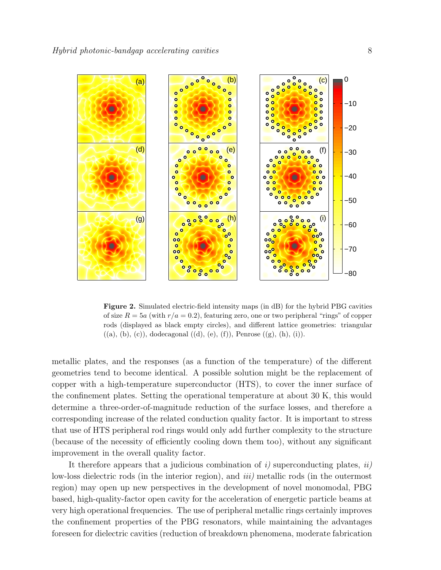

<span id="page-7-0"></span>Figure 2. Simulated electric-field intensity maps (in dB) for the hybrid PBG cavities of size  $R = 5a$  (with  $r/a = 0.2$ ), featuring zero, one or two peripheral "rings" of copper rods (displayed as black empty circles), and different lattice geometries: triangular  $((a), (b), (c)),$  dodecagonal  $((d), (e), (f)),$  Penrose  $((g), (h), (i)).$ 

metallic plates, and the responses (as a function of the temperature) of the different geometries tend to become identical. A possible solution might be the replacement of copper with a high-temperature superconductor (HTS), to cover the inner surface of the confinement plates. Setting the operational temperature at about 30 K, this would determine a three-order-of-magnitude reduction of the surface losses, and therefore a corresponding increase of the related conduction quality factor. It is important to stress that use of HTS peripheral rod rings would only add further complexity to the structure (because of the necessity of efficiently cooling down them too), without any significant improvement in the overall quality factor.

It therefore appears that a judicious combination of  $i$ ) superconducting plates,  $ii$ low-loss dielectric rods (in the interior region), and *iii*) metallic rods (in the outermost region) may open up new perspectives in the development of novel monomodal, PBG based, high-quality-factor open cavity for the acceleration of energetic particle beams at very high operational frequencies. The use of peripheral metallic rings certainly improves the confinement properties of the PBG resonators, while maintaining the advantages foreseen for dielectric cavities (reduction of breakdown phenomena, moderate fabrication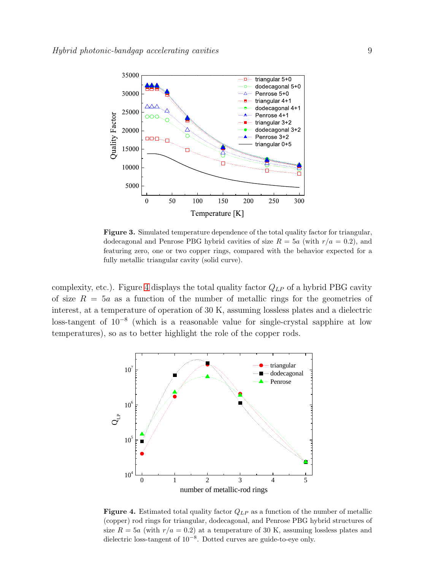

<span id="page-8-0"></span>Figure 3. Simulated temperature dependence of the total quality factor for triangular, dodecagonal and Penrose PBG hybrid cavities of size  $R = 5a$  (with  $r/a = 0.2$ ), and featuring zero, one or two copper rings, compared with the behavior expected for a fully metallic triangular cavity (solid curve).

complexity, etc.). Figure [4](#page-8-1) displays the total quality factor  $Q_{LP}$  of a hybrid PBG cavity of size  $R = 5a$  as a function of the number of metallic rings for the geometries of interest, at a temperature of operation of 30 K, assuming lossless plates and a dielectric loss-tangent of 10<sup>−</sup><sup>8</sup> (which is a reasonable value for single-crystal sapphire at low temperatures), so as to better highlight the role of the copper rods.



<span id="page-8-1"></span>**Figure 4.** Estimated total quality factor  $Q_{LP}$  as a function of the number of metallic (copper) rod rings for triangular, dodecagonal, and Penrose PBG hybrid structures of size  $R = 5a$  (with  $r/a = 0.2$ ) at a temperature of 30 K, assuming lossless plates and dielectric loss-tangent of 10−<sup>8</sup> . Dotted curves are guide-to-eye only.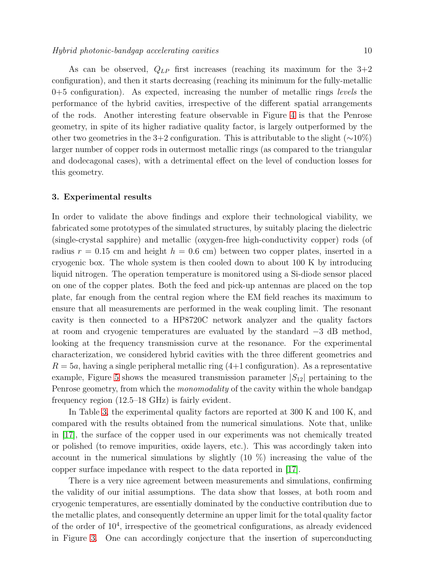As can be observed,  $Q_{LP}$  first increases (reaching its maximum for the 3+2 configuration), and then it starts decreasing (reaching its minimum for the fully-metallic  $0+5$  configuration). As expected, increasing the number of metallic rings *levels* the performance of the hybrid cavities, irrespective of the different spatial arrangements of the rods. Another interesting feature observable in Figure [4](#page-8-1) is that the Penrose geometry, in spite of its higher radiative quality factor, is largely outperformed by the other two geometries in the 3+2 configuration. This is attributable to the slight ( $\sim$ 10%) larger number of copper rods in outermost metallic rings (as compared to the triangular and dodecagonal cases), with a detrimental effect on the level of conduction losses for this geometry.

#### <span id="page-9-0"></span>3. Experimental results

In order to validate the above findings and explore their technological viability, we fabricated some prototypes of the simulated structures, by suitably placing the dielectric (single-crystal sapphire) and metallic (oxygen-free high-conductivity copper) rods (of radius  $r = 0.15$  cm and height  $h = 0.6$  cm) between two copper plates, inserted in a cryogenic box. The whole system is then cooled down to about 100 K by introducing liquid nitrogen. The operation temperature is monitored using a Si-diode sensor placed on one of the copper plates. Both the feed and pick-up antennas are placed on the top plate, far enough from the central region where the EM field reaches its maximum to ensure that all measurements are performed in the weak coupling limit. The resonant cavity is then connected to a HP8720C network analyzer and the quality factors at room and cryogenic temperatures are evaluated by the standard −3 dB method, looking at the frequency transmission curve at the resonance. For the experimental characterization, we considered hybrid cavities with the three different geometries and  $R = 5a$ , having a single peripheral metallic ring  $(4+1)$  configuration). As a representative example, Figure [5](#page-10-1) shows the measured transmission parameter  $|S_{12}|$  pertaining to the Penrose geometry, from which the *monomodality* of the cavity within the whole bandgap frequency region (12.5–18 GHz) is fairly evident.

In Table [3,](#page-10-2) the experimental quality factors are reported at 300 K and 100 K, and compared with the results obtained from the numerical simulations. Note that, unlike in [\[17\]](#page-12-6), the surface of the copper used in our experiments was not chemically treated or polished (to remove impurities, oxide layers, etc.). This was accordingly taken into account in the numerical simulations by slightly  $(10 \%)$  increasing the value of the copper surface impedance with respect to the data reported in [\[17\]](#page-12-6).

There is a very nice agreement between measurements and simulations, confirming the validity of our initial assumptions. The data show that losses, at both room and cryogenic temperatures, are essentially dominated by the conductive contribution due to the metallic plates, and consequently determine an upper limit for the total quality factor of the order of 10<sup>4</sup> , irrespective of the geometrical configurations, as already evidenced in Figure [3.](#page-8-0) One can accordingly conjecture that the insertion of superconducting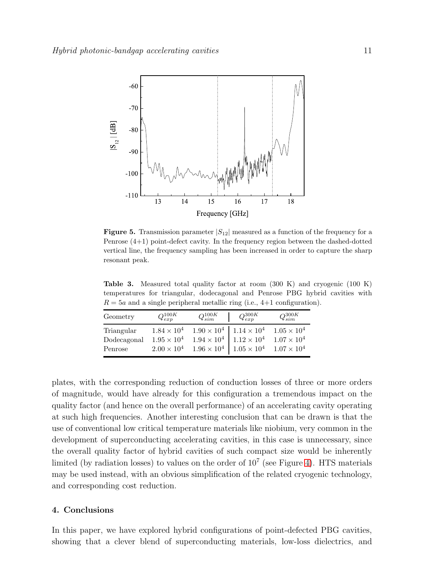

<span id="page-10-1"></span>**Figure 5.** Transmission parameter  $|S_{12}|$  measured as a function of the frequency for a Penrose (4+1) point-defect cavity. In the frequency region between the dashed-dotted vertical line, the frequency sampling has been increased in order to capture the sharp resonant peak.

<span id="page-10-2"></span>Table 3. Measured total quality factor at room (300 K) and cryogenic (100 K) temperatures for triangular, dodecagonal and Penrose PBG hybrid cavities with  $R = 5a$  and a single peripheral metallic ring (i.e., 4+1 configuration).

| Geometry                             | $Q_{exp}^{100K}$ | $Q_{sim}^{100K}$ | $Q_{exp}^{300K}$                                                                                                                                                                                                                                | $Q_{sim}^{300K}$ |
|--------------------------------------|------------------|------------------|-------------------------------------------------------------------------------------------------------------------------------------------------------------------------------------------------------------------------------------------------|------------------|
| Triangular<br>Dodecagonal<br>Penrose |                  |                  | $1.84\times 10^4$ $-1.90\times 10^4$ $\big $ $1.14\times 10^4$ $-1.05\times 10^4$<br>$1.95 \times 10^4$ $1.94 \times 10^4$ $1.12 \times 10^4$ $1.07 \times 10^4$<br>$2.00 \times 10^4$ $1.96 \times 10^4$ $1.05 \times 10^4$ $1.07 \times 10^4$ |                  |

plates, with the corresponding reduction of conduction losses of three or more orders of magnitude, would have already for this configuration a tremendous impact on the quality factor (and hence on the overall performance) of an accelerating cavity operating at such high frequencies. Another interesting conclusion that can be drawn is that the use of conventional low critical temperature materials like niobium, very common in the development of superconducting accelerating cavities, in this case is unnecessary, since the overall quality factor of hybrid cavities of such compact size would be inherently limited (by radiation losses) to values on the order of  $10<sup>7</sup>$  (see Figure [4\)](#page-8-1). HTS materials may be used instead, with an obvious simplification of the related cryogenic technology, and corresponding cost reduction.

## <span id="page-10-0"></span>4. Conclusions

In this paper, we have explored hybrid configurations of point-defected PBG cavities, showing that a clever blend of superconducting materials, low-loss dielectrics, and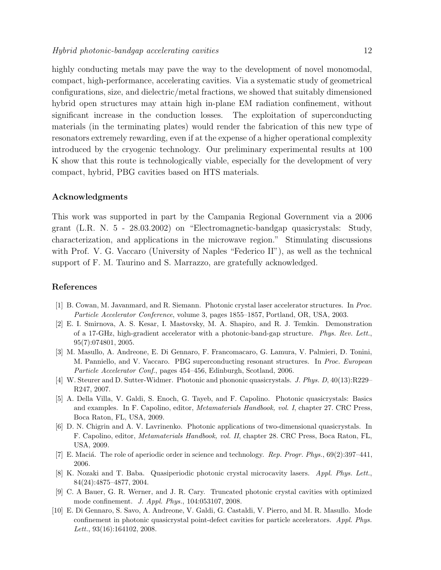highly conducting metals may pave the way to the development of novel monomodal, compact, high-performance, accelerating cavities. Via a systematic study of geometrical configurations, size, and dielectric/metal fractions, we showed that suitably dimensioned hybrid open structures may attain high in-plane EM radiation confinement, without significant increase in the conduction losses. The exploitation of superconducting materials (in the terminating plates) would render the fabrication of this new type of resonators extremely rewarding, even if at the expense of a higher operational complexity introduced by the cryogenic technology. Our preliminary experimental results at 100 K show that this route is technologically viable, especially for the development of very compact, hybrid, PBG cavities based on HTS materials.

#### Acknowledgments

This work was supported in part by the Campania Regional Government via a 2006 grant (L.R. N. 5 - 28.03.2002) on "Electromagnetic-bandgap quasicrystals: Study, characterization, and applications in the microwave region." Stimulating discussions with Prof. V. G. Vaccaro (University of Naples "Federico II"), as well as the technical support of F. M. Taurino and S. Marrazzo, are gratefully acknowledged.

## <span id="page-11-0"></span>References

- <span id="page-11-1"></span>[1] B. Cowan, M. Javanmard, and R. Siemann. Photonic crystal laser accelerator structures. In Proc. Particle Accelerator Conference, volume 3, pages 1855–1857, Portland, OR, USA, 2003.
- [2] E. I. Smirnova, A. S. Kesar, I. Mastovsky, M. A. Shapiro, and R. J. Temkin. Demonstration of a 17-GHz, high-gradient accelerator with a photonic-band-gap structure. Phys. Rev. Lett., 95(7):074801, 2005.
- <span id="page-11-2"></span>[3] M. Masullo, A. Andreone, E. Di Gennaro, F. Francomacaro, G. Lamura, V. Palmieri, D. Tonini, M. Panniello, and V. Vaccaro. PBG superconducting resonant structures. In Proc. European Particle Accelerator Conf., pages 454–456, Edinburgh, Scotland, 2006.
- <span id="page-11-3"></span>[4] W. Steurer and D. Sutter-Widmer. Photonic and phononic quasicrystals. J. Phys. D, 40(13):R229– R247, 2007.
- <span id="page-11-4"></span>[5] A. Della Villa, V. Galdi, S. Enoch, G. Tayeb, and F. Capolino. Photonic quasicrystals: Basics and examples. In F. Capolino, editor, Metamaterials Handbook, vol. I, chapter 27. CRC Press, Boca Raton, FL, USA, 2009.
- <span id="page-11-5"></span>[6] D. N. Chigrin and A. V. Lavrinenko. Photonic applications of two-dimensional quasicrystals. In F. Capolino, editor, Metamaterials Handbook, vol. II, chapter 28. CRC Press, Boca Raton, FL, USA, 2009.
- <span id="page-11-7"></span><span id="page-11-6"></span>[7] E. Maciá. The role of aperiodic order in science and technology. Rep. Progr. Phys.,  $69(2):397-441$ , 2006.
- [8] K. Nozaki and T. Baba. Quasiperiodic photonic crystal microcavity lasers. Appl. Phys. Lett., 84(24):4875–4877, 2004.
- <span id="page-11-8"></span>[9] C. A Bauer, G. R. Werner, and J. R. Cary. Truncated photonic crystal cavities with optimized mode confinement. J. Appl. Phys., 104:053107, 2008.
- <span id="page-11-9"></span>[10] E. Di Gennaro, S. Savo, A. Andreone, V. Galdi, G. Castaldi, V. Pierro, and M. R. Masullo. Mode confinement in photonic quasicrystal point-defect cavities for particle accelerators. Appl. Phys. Lett., 93(16):164102, 2008.